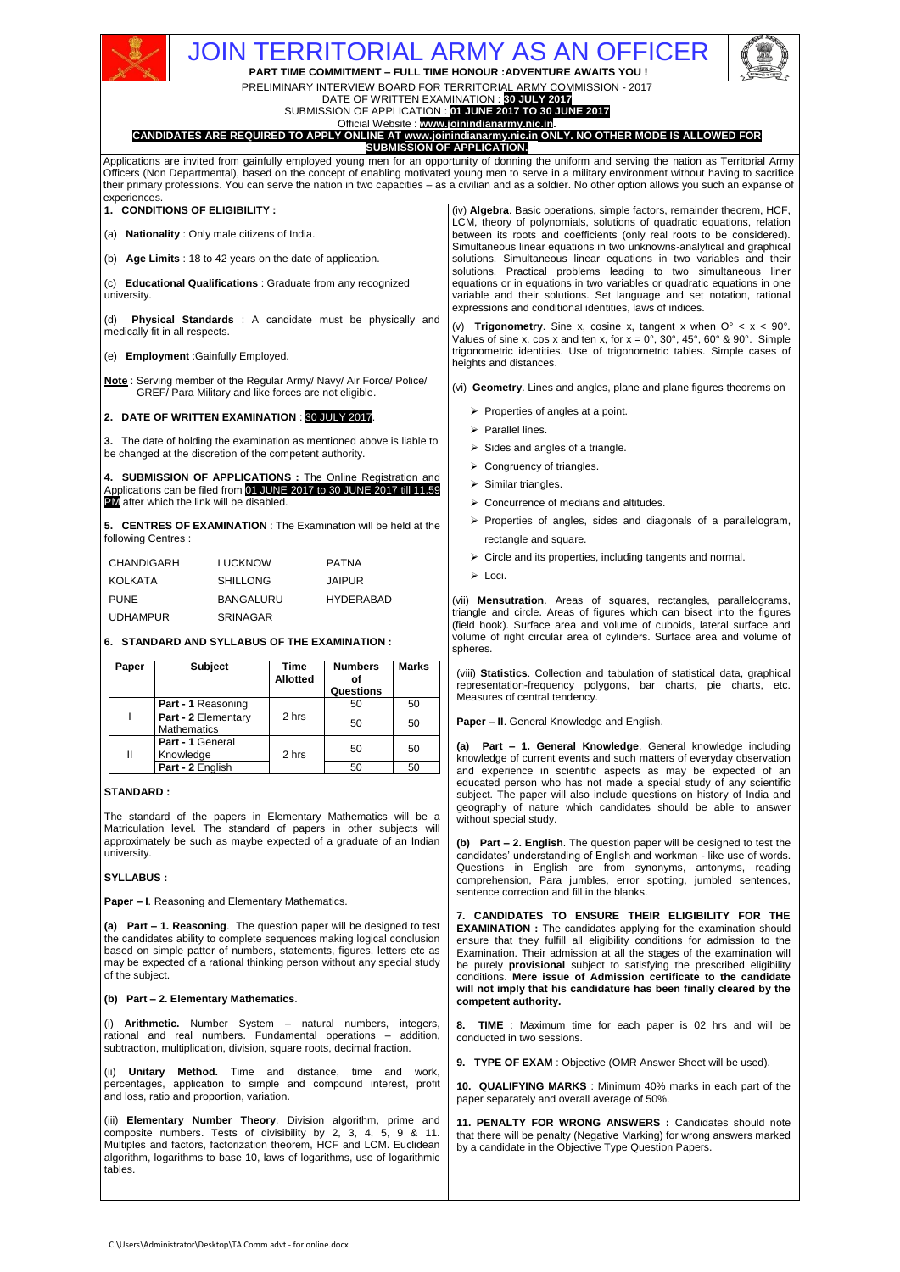# JOIN TERRITORIAL ARMY AS AN OFFICER

**PART TIME COMMITMENT – FULL TIME HONOUR :ADVENTURE AWAITS YOU !** PRELIMINARY INTERVIEW BOARD FOR TERRITORIAL ARMY COMMISSION - 2017

DATE OF WRITTEN EXAMINATION : **30 JULY 2017**



# Official Website : **[www.joinindianarmy.nic.in.](http://www.joinindianarmy.nic.in/) CANDIDATES ARE REQUIRED TO APPLY ONLINE AT [www.joinindianarmy.nic.in](http://www.joinindianarmy.nic.in/) ONLY. NO OTHER MODE IS ALLOWED FOR**

**SUBMISSION OF APPLICATION.**

Applications are invited from gainfully employed young men for an opportunity of donning the uniform and serving the nation as Territorial Army Officers (Non Departmental), based on the concept of enabling motivated young men to serve in a military environment without having to sacrifice their primary professions. You can serve the nation in two capacities – as a civilian and as a soldier. No other option allows you such an expanse of experiences.

**1. CONDITIONS OF ELIGIBILITY :**

(a) **Nationality** : Only male citizens of India.

(b) **Age Limits** : 18 to 42 years on the date of application.

(c) **Educational Qualifications** : Graduate from any recognized university.

(d) **Physical Standards** : A candidate must be physically and medically fit in all respects.

(e) **Employment** :Gainfully Employed.

**Note** : Serving member of the Regular Army/ Navy/ Air Force/ Police/ GREF/ Para Military and like forces are not eligible.

**2. DATE OF WRITTEN EXAMINATION** : 30 JULY 2017.

**3.** The date of holding the examination as mentioned above is liable to be changed at the discretion of the competent authority.

**4. SUBMISSION OF APPLICATIONS :** The Online Registration and Applications can be filed from 01 JUNE 2017 to 30 JUNE 2017 till 11.59 PM after which the link will be disabled.

**5. CENTRES OF EXAMINATION** : The Examination will be held at the following Centres :

| CHANDIGARH      | LUCKNOW          | <b>PATNA</b>     |
|-----------------|------------------|------------------|
| KOLKATA         | SHILLONG         | <b>JAIPUR</b>    |
| <b>PUNE</b>     | <b>BANGALURU</b> | <b>HYDERABAD</b> |
| <b>UDHAMPUR</b> | SRINAGAR         |                  |

**6. STANDARD AND SYLLABUS OF THE EXAMINATION :**

| Paper | <b>Subject</b>                            | Time<br><b>Allotted</b> | <b>Numbers</b><br>οf<br>Questions | <b>Marks</b> |
|-------|-------------------------------------------|-------------------------|-----------------------------------|--------------|
|       | Part - 1 Reasoning                        |                         | 50                                | 50           |
|       | Part - 2 Elementary<br><b>Mathematics</b> | 2 hrs                   | 50                                | 50           |
| Ш     | Part - 1 General<br>Knowledge             | 2 hrs                   | 50                                | 50           |
|       | Part - 2 English                          |                         | 50                                | 50           |

# **STANDARD :**

The standard of the papers in Elementary Mathematics will be a Matriculation level. The standard of papers in other subjects will approximately be such as maybe expected of a graduate of an Indian university.

### **SYLLABUS :**

**Paper – I**. Reasoning and Elementary Mathematics.

**(a) Part – 1. Reasoning**. The question paper will be designed to test the candidates ability to complete sequences making logical conclusion based on simple patter of numbers, statements, figures, letters etc as may be expected of a rational thinking person without any special study of the subject.

### **(b) Part – 2. Elementary Mathematics**.

(i) **Arithmetic.** Number System – natural numbers, integers, rational and real numbers. Fundamental operations – addition, subtraction, multiplication, division, square roots, decimal fraction.

(ii) **Unitary Method.** Time and distance, time and work, percentages, application to simple and compound interest, profit and loss, ratio and proportion, variation.

(iii) **Elementary Number Theory**. Division algorithm, prime and composite numbers. Tests of divisibility by 2, 3, 4, 5, 9 & 11. Multiples and factors, factorization theorem, HCF and LCM. Euclidean algorithm, logarithms to base 10, laws of logarithms, use of logarithmic tables.

(iv) **Algebra**. Basic operations, simple factors, remainder theorem, HCF, LCM, theory of polynomials, solutions of quadratic equations, relation between its roots and coefficients (only real roots to be considered). Simultaneous linear equations in two unknowns-analytical and graphical solutions. Simultaneous linear equations in two variables and their solutions. Practical problems leading to two simultaneous liner equations or in equations in two variables or quadratic equations in one variable and their solutions. Set language and set notation, rational expressions and conditional identities, laws of indices.

(v) **Trigonometry**. Sine x, cosine x, tangent x when O° < x < 90°. Values of sine x, cos x and ten x, for  $x = 0^\circ$ , 30°, 45°, 60° & 90°. Simple trigonometric identities. Use of trigonometric tables. Simple cases of heights and distances.

(vi) **Geometry**. Lines and angles, plane and plane figures theorems on

- $\triangleright$  Properties of angles at a point.
- > Parallel lines
- $\triangleright$  Sides and angles of a triangle.
- $\triangleright$  Congruency of triangles.
- $\triangleright$  Similar triangles.
- ▶ Concurrence of medians and altitudes.
- $\triangleright$  Properties of angles, sides and diagonals of a parallelogram, rectangle and square.
- $\triangleright$  Circle and its properties, including tangents and normal.
- > Loci.

(vii) **Mensutration**. Areas of squares, rectangles, parallelograms, triangle and circle. Areas of figures which can bisect into the figures (field book). Surface area and volume of cuboids, lateral surface and volume of right circular area of cylinders. Surface area and volume of spheres.

(viii) **Statistics**. Collection and tabulation of statistical data, graphical representation-frequency polygons, bar charts, pie charts, etc. Measures of central tendency.

**Paper – II**. General Knowledge and English.

**(a) Part – 1. General Knowledge**. General knowledge including knowledge of current events and such matters of everyday observation and experience in scientific aspects as may be expected of an educated person who has not made a special study of any scientific subject. The paper will also include questions on history of India and geography of nature which candidates should be able to answer without special study.

**(b) Part – 2. English**. The question paper will be designed to test the candidates' understanding of English and workman - like use of words. Questions in English are from synonyms, antonyms, reading comprehension, Para jumbles, error spotting, jumbled sentences, sentence correction and fill in the blanks.

**7. CANDIDATES TO ENSURE THEIR ELIGIBILITY FOR THE EXAMINATION :** The candidates applying for the examination should ensure that they fulfill all eligibility conditions for admission to the Examination. Their admission at all the stages of the examination will be purely **provisional** subject to satisfying the prescribed eligibility conditions. **Mere issue of Admission certificate to the candidate will not imply that his candidature has been finally cleared by the competent authority.** 

**TIME** : Maximum time for each paper is 02 hrs and will be conducted in two sessions.

9. TYPE OF EXAM : Objective (OMR Answer Sheet will be used).

**10. QUALIFYING MARKS** : Minimum 40% marks in each part of the paper separately and overall average of 50%.

**11. PENALTY FOR WRONG ANSWERS :** Candidates should note that there will be penalty (Negative Marking) for wrong answers marked by a candidate in the Objective Type Question Papers.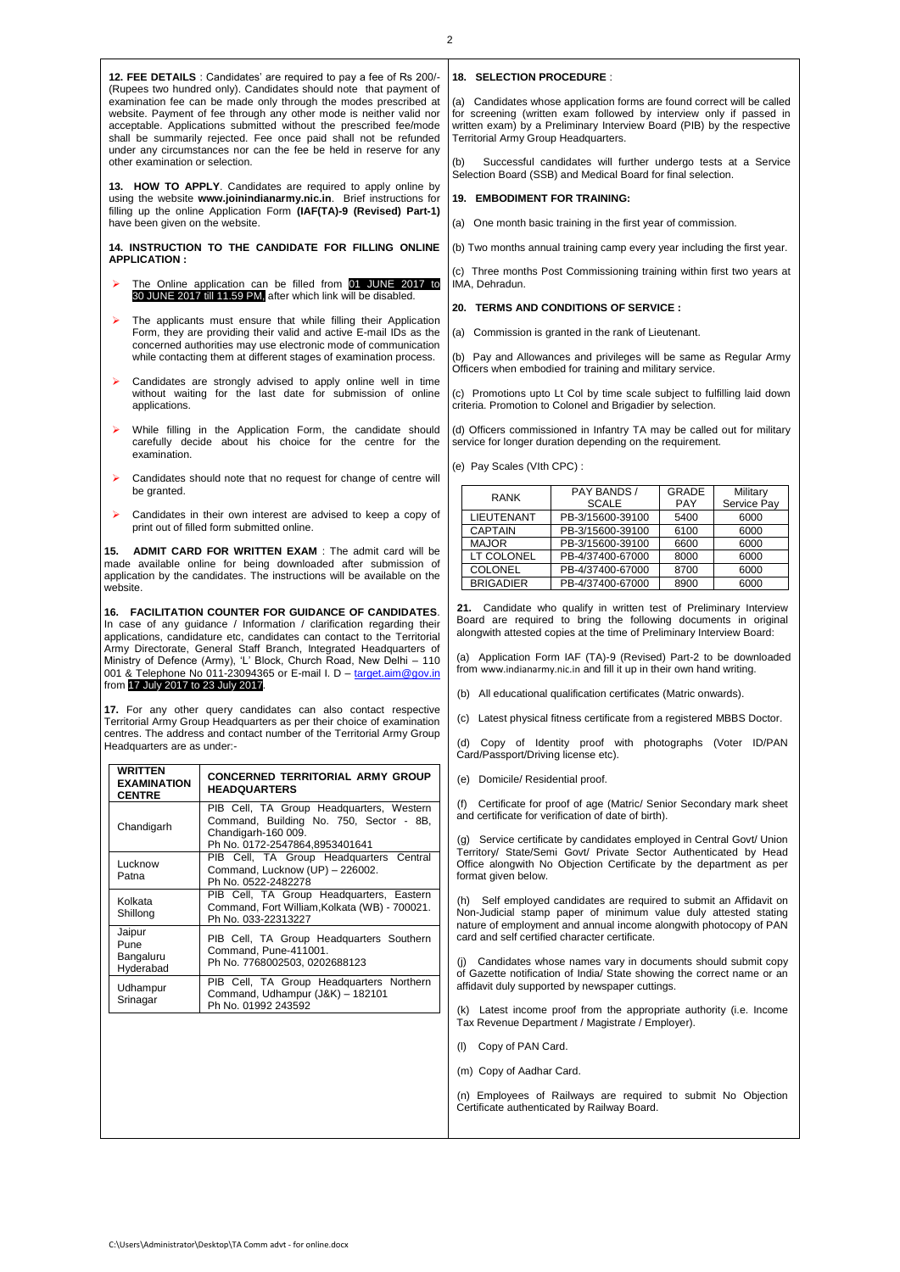**12. FEE DETAILS** : Candidates' are required to pay a fee of Rs 200/- (Rupees two hundred only). Candidates should note that payment of examination fee can be made only through the modes prescribed at website. Payment of fee through any other mode is neither valid nor acceptable. Applications submitted without the prescribed fee/mode shall be summarily rejected. Fee once paid shall not be refunded under any circumstances nor can the fee be held in reserve for any other examination or selection.

**13. HOW TO APPLY**. Candidates are required to apply online by using the website **www.joinindianarmy.nic.in**. Brief instructions for filling up the online Application Form **(IAF(TA)-9 (Revised) Part-1)** have been given on the website.

**14. INSTRUCTION TO THE CANDIDATE FOR FILLING ONLINE APPLICATION :**

- The Online application can be filled from 01 JUNE 2017 to 30 JUNE 2017 till 11.59 PM, after which link will be disabled.
- The applicants must ensure that while filling their Application Form, they are providing their valid and active E-mail IDs as the concerned authorities may use electronic mode of communication while contacting them at different stages of examination process.
- Candidates are strongly advised to apply online well in time without waiting for the last date for submission of online applications.
- While filling in the Application Form, the candidate should carefully decide about his choice for the centre for the examination.
- Candidates should note that no request for change of centre will be granted.
- Candidates in their own interest are advised to keep a copy of print out of filled form submitted online.

**15. ADMIT CARD FOR WRITTEN EXAM** : The admit card will be made available online for being downloaded after submission of application by the candidates. The instructions will be available on the website.

**16. FACILITATION COUNTER FOR GUIDANCE OF CANDIDATES**. In case of any guidance / Information / clarification regarding their applications, candidature etc, candidates can contact to the Territorial Army Directorate, General Staff Branch, Integrated Headquarters of Ministry of Defence (Army), 'L' Block, Church Road, New Delhi – 110 001 & Telephone No 011-23094365 or E-mail I. D - [target.aim@gov.in](mailto:target.aim@gov.in) from 17 July 2017 to 23 July 2017.

**17.** For any other query candidates can also contact respective Territorial Army Group Headquarters as per their choice of examination centres. The address and contact number of the Territorial Army Group Headquarters are as under:-

| <b>WRITTEN</b><br><b>EXAMINATION</b><br><b>CENTRE</b> | CONCERNED TERRITORIAL ARMY GROUP<br><b>HEADQUARTERS</b>                                                                                      |
|-------------------------------------------------------|----------------------------------------------------------------------------------------------------------------------------------------------|
| Chandigarh                                            | PIB Cell, TA Group Headquarters, Western<br>Command, Building No. 750, Sector - 8B,<br>Chandigarh-160 009.<br>Ph No. 0172-2547864,8953401641 |
| Lucknow<br>Patna                                      | PIB Cell, TA Group Headquarters Central<br>Command, Lucknow (UP) - 226002.<br>Ph No. 0522-2482278                                            |
| Kolkata<br>Shillong                                   | PIB Cell, TA Group Headquarters, Eastern<br>Command, Fort William, Kolkata (WB) - 700021.<br>Ph No. 033-22313227                             |
| Jaipur<br>Pune<br>Bangaluru<br>Hyderabad              | PIB Cell, TA Group Headquarters Southern<br>Command, Pune-411001.<br>Ph No. 7768002503, 0202688123                                           |
| Udhampur<br>Srinagar                                  | PIB Cell, TA Group Headquarters Northern<br>Command, Udhampur (J&K) - 182101<br>Ph No. 01992 243592                                          |

# **18. SELECTION PROCEDURE** :

(a) Candidates whose application forms are found correct will be called for screening (written exam followed by interview only if passed in written exam) by a Preliminary Interview Board (PIB) by the respective Territorial Army Group Headquarters.

Successful candidates will further undergo tests at a Service Selection Board (SSB) and Medical Board for final selection.

# **19. EMBODIMENT FOR TRAINING:**

(a) One month basic training in the first year of commission.

(b) Two months annual training camp every year including the first year.

(c) Three months Post Commissioning training within first two years at IMA, Dehradun.

#### **20. TERMS AND CONDITIONS OF SERVICE :**

(a) Commission is granted in the rank of Lieutenant.

(b) Pay and Allowances and privileges will be same as Regular Army Officers when embodied for training and military service.

(c) Promotions upto Lt Col by time scale subject to fulfilling laid down criteria. Promotion to Colonel and Brigadier by selection.

(d) Officers commissioned in Infantry TA may be called out for military service for longer duration depending on the requirement.

(e) Pay Scales (VIth CPC) :

| <b>RANK</b>       | PAY BANDS /      | GRADE      | Military    |
|-------------------|------------------|------------|-------------|
|                   | <b>SCALE</b>     | <b>PAY</b> | Service Pay |
| <b>LIEUTENANT</b> | PB-3/15600-39100 | 5400       | 6000        |
| <b>CAPTAIN</b>    | PB-3/15600-39100 | 6100       | 6000        |
| <b>MAJOR</b>      | PB-3/15600-39100 | 6600       | 6000        |
| LT COLONEL        | PB-4/37400-67000 | 8000       | 6000        |
| <b>COLONEL</b>    | PB-4/37400-67000 | 8700       | 6000        |
| <b>BRIGADIER</b>  | PB-4/37400-67000 | 8900       | 6000        |

21. Candidate who qualify in written test of Preliminary Interview Board are required to bring the following documents in original alongwith attested copies at the time of Preliminary Interview Board:

(a) Application Form IAF (TA)-9 (Revised) Part-2 to be downloaded from [www.indianarmy.nic.in](http://www.indianarmy.nic.in/) and fill it up in their own hand writing.

(b) All educational qualification certificates (Matric onwards).

(c) Latest physical fitness certificate from a registered MBBS Doctor.

(d) Copy of Identity proof with photographs (Voter ID/PAN Card/Passport/Driving license etc).

(e) Domicile/ Residential proof.

(f) Certificate for proof of age (Matric/ Senior Secondary mark sheet and certificate for verification of date of birth).

(g) Service certificate by candidates employed in Central Govt/ Union Territory/ State/Semi Govt/ Private Sector Authenticated by Head Office alongwith No Objection Certificate by the department as per format given below.

(h) Self employed candidates are required to submit an Affidavit on Non-Judicial stamp paper of minimum value duly attested stating nature of employment and annual income alongwith photocopy of PAN card and self certified character certificate.

Candidates whose names vary in documents should submit copy of Gazette notification of India/ State showing the correct name or an affidavit duly supported by newspaper cuttings.

(k) Latest income proof from the appropriate authority (i.e. Income Tax Revenue Department / Magistrate / Employer).

- (l) Copy of PAN Card.
- (m) Copy of Aadhar Card.

(n) Employees of Railways are required to submit No Objection Certificate authenticated by Railway Board.